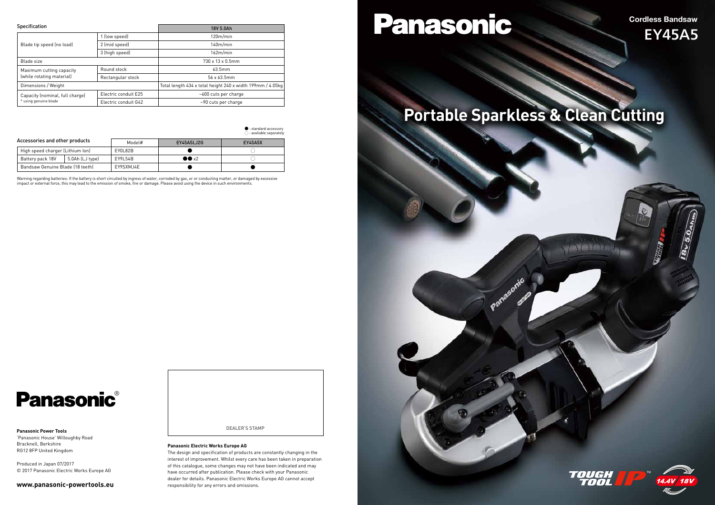Warning regarding batteries: If the battery is short circuited by ingress of water, corroded by gas, or or conducting matter, or damaged by excessive impact or external force, this may lead to the emission of smoke, fire or damage. Please avoid using the device in such environments.

# **Panasonic**®

| <b>Specification</b>                                     |                      | 18V 5.0Ah                                                  |  |
|----------------------------------------------------------|----------------------|------------------------------------------------------------|--|
| Blade tip speed (no load)                                | 1 (low speed)        | 120m/min                                                   |  |
|                                                          | 2 (mid speed)        | 140m/min                                                   |  |
|                                                          | 3 (high speed)       | 162m/min                                                   |  |
| Blade size                                               |                      | 730 x 13 x 0.5mm                                           |  |
| Maximum cutting capacity<br>(while rotating material)    | Round stock          | 63.5mm                                                     |  |
|                                                          | Rectangular stock    | 56 x 63.5mm                                                |  |
| Dimensions / Weight                                      |                      | Total length 434 x total height 240 x width 199mm / 4.05kg |  |
| Capacity (nominal, full charge)<br>* using genuine blade | Electric conduit E25 | ~600 cuts per charge                                       |  |
|                                                          | Electric conduit G42 | ~90 cuts per charge                                        |  |

● : standard accessory





Cordless Bandsaw

# EY45A5

 $rac{1}{3}$ 

# **Portable Sparkless & Clean Cutting**

### **Panasonic Power Tools**

|                                  |                 |           |                      | $\supset$ : available separately |
|----------------------------------|-----------------|-----------|----------------------|----------------------------------|
| Accessories and other products   |                 | Model#    | EY45A5LJ2G           | <b>EY45A5X</b>                   |
| High speed charger (Lithium Ion) |                 | EY0L82B   |                      |                                  |
| Battery pack 18V                 | 5.0Ah (LJ type) | EY9L54B   | $\bullet \bullet x2$ |                                  |
| Bandsaw Genuine Blade (18 teeth) |                 | EY9SXMJ4E |                      |                                  |

'Panasonic House' Willoughby Road Bracknell, Berkshire RG12 8FP United Kingdom

Produced in Japan 07/2017 © 2017 Panasonic Electric Works Europe AG

### **www.panasonic-powertools.eu**

### **Panasonic Electric Works Europe AG**

The design and specification of products are constantly changing in the interest of improvement. Whilst every care has been taken in preparation of this catalogue, some changes may not have been indicated and may have occurred after publication. Please check with your Panasonic dealer for details. Panasonic Electric Works Europe AG cannot accept responsibility for any errors and omissions.

# Panasonic

DEALER'S STAMP